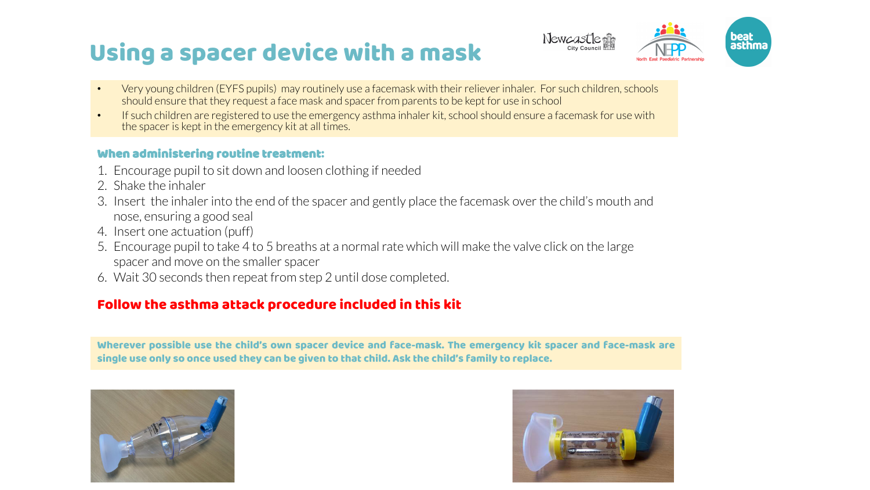# Using a spacer device with a mask



- Very young children (EYFS pupils) may routinely use a facemask with their reliever inhaler. For such children, schools should ensure that they request a face mask and spacer from parents to be kept for use in school
- If such children are registered to use the emergency asthma inhaler kit, school should ensure a facemask for use with the spacer is kept in the emergency kit at all times.

### When administering routine treatment:

- 1. Encourage pupil to sit down and loosen clothing if needed
- 2. Shake the inhaler
- 3. Insert the inhaler into the end of the spacer and gently place the facemask over the child's mouth and nose, ensuring a good seal
- 4. Insert one actuation (puff)
- 5. Encourage pupil to take 4 to 5 breaths at a normal rate which will make the valve click on the large spacer and move on the smaller spacer
- 6. Wait 30 seconds then repeat from step 2 until dose completed.

## Follow the asthma attack procedure included in this kit

Wherever possible use the child's own spacer device and face-mask. The emergency kit spacer and face-mask are single use only so once used they can be given to that child. Ask the child's family to replace.



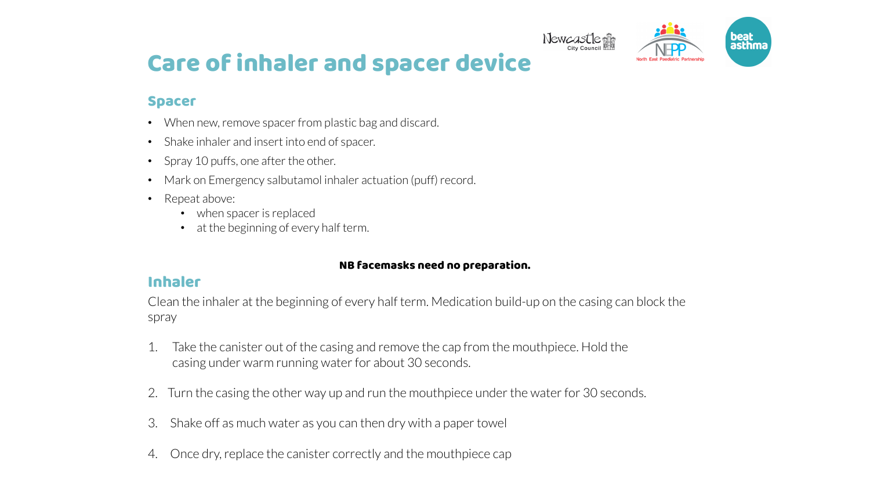

## Care of inhaler and spacer device

### Spacer

- When new, remove spacer from plastic bag and discard.
- Shake inhaler and insert into end of spacer.
- Spray 10 puffs, one after the other.
- Mark on Emergency salbutamol inhaler actuation (puff) record.
- Repeat above:
	- when spacer is replaced
	- at the beginning of every half term.

#### NB facemasks need no preparation.

### Inhaler

Clean the inhaler at the beginning of every half term. Medication build-up on the casing can block the spray

- 1. Take the canister out of the casing and remove the cap from the mouthpiece. Hold the casing under warm running water for about 30 seconds.
- 2. Turn the casing the other way up and run the mouthpiece under the water for 30 seconds.
- 3. Shake off as much water as you can then dry with a paper towel
- 4. Once dry, replace the canister correctly and the mouthpiece cap